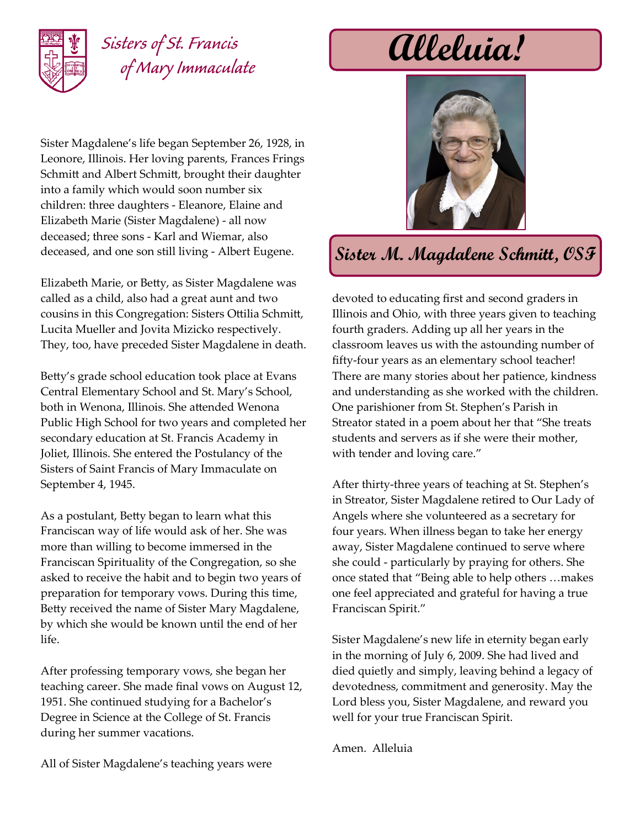

# *Sisters of St. Francis of Mary Immaculate*

Sister Magdalene's life began September 26, 1928, in Leonore, Illinois. Her loving parents, Frances Frings Schmitt and Albert Schmitt, brought their daughter into a family which would soon number six children: three daughters - Eleanore, Elaine and Elizabeth Marie (Sister Magdalene) - all now deceased; three sons - Karl and Wiemar, also deceased, and one son still living - Albert Eugene.

Elizabeth Marie, or Betty, as Sister Magdalene was called as a child, also had a great aunt and two cousins in this Congregation: Sisters Ottilia Schmitt, Lucita Mueller and Jovita Mizicko respectively. They, too, have preceded Sister Magdalene in death.

Betty's grade school education took place at Evans Central Elementary School and St. Mary's School, both in Wenona, Illinois. She attended Wenona Public High School for two years and completed her secondary education at St. Francis Academy in Joliet, Illinois. She entered the Postulancy of the Sisters of Saint Francis of Mary Immaculate on September 4, 1945.

As a postulant, Betty began to learn what this Franciscan way of life would ask of her. She was more than willing to become immersed in the Franciscan Spirituality of the Congregation, so she asked to receive the habit and to begin two years of preparation for temporary vows. During this time, Betty received the name of Sister Mary Magdalene, by which she would be known until the end of her life.

After professing temporary vows, she began her teaching career. She made final vows on August 12, 1951. She continued studying for a Bachelor's Degree in Science at the College of St. Francis during her summer vacations.

**Alleluia!**



## **Sister M. Magdalene Schmitt, OSF**

devoted to educating first and second graders in Illinois and Ohio, with three years given to teaching fourth graders. Adding up all her years in the classroom leaves us with the astounding number of fifty-four years as an elementary school teacher! There are many stories about her patience, kindness and understanding as she worked with the children. One parishioner from St. Stephen's Parish in Streator stated in a poem about her that "She treats students and servers as if she were their mother, with tender and loving care."

After thirty-three years of teaching at St. Stephen's in Streator, Sister Magdalene retired to Our Lady of Angels where she volunteered as a secretary for four years. When illness began to take her energy away, Sister Magdalene continued to serve where she could - particularly by praying for others. She once stated that "Being able to help others …makes one feel appreciated and grateful for having a true Franciscan Spirit."

Sister Magdalene's new life in eternity began early in the morning of July 6, 2009. She had lived and died quietly and simply, leaving behind a legacy of devotedness, commitment and generosity. May the Lord bless you, Sister Magdalene, and reward you well for your true Franciscan Spirit.

Amen. Alleluia

All of Sister Magdalene's teaching years were